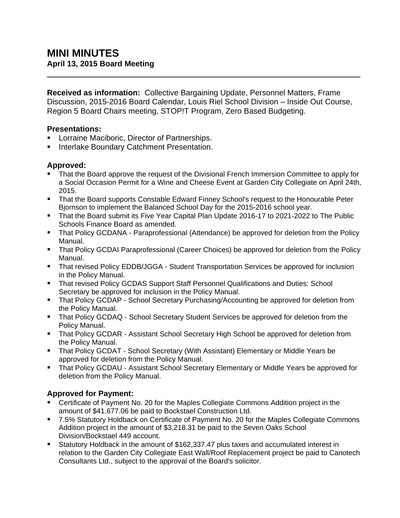**Received as information:** Collective Bargaining Update, Personnel Matters, Frame Discussion, 2015-2016 Board Calendar, Louis Riel School Division – Inside Out Course, Region 5 Board Chairs meeting, STOP!T Program, Zero Based Budgeting.

### **Presentations:**

- **EXECT:** Lorraine Maciboric, Director of Partnerships.
- Interlake Boundary Catchment Presentation.

### **Approved:**

- That the Board approve the request of the Divisional French Immersion Committee to apply for a Social Occasion Permit for a Wine and Cheese Event at Garden City Collegiate on April 24th, 2015.
- That the Board supports Constable Edward Finney School's request to the Honourable Peter Bjornson to implement the Balanced School Day for the 2015-2016 school year.
- **That the Board submit its Five Year Capital Plan Update 2016-17 to 2021-2022 to The Public** Schools Finance Board as amended.
- That Policy GCDANA Paraprofessional (Attendance) be approved for deletion from the Policy Manual.
- That Policy GCDAI Paraprofessional (Career Choices) be approved for deletion from the Policy Manual.
- That revised Policy EDDB/JGGA Student Transportation Services be approved for inclusion in the Policy Manual.
- That revised Policy GCDAS Support Staff Personnel Qualifications and Duties: School Secretary be approved for inclusion in the Policy Manual.
- That Policy GCDAP School Secretary Purchasing/Accounting be approved for deletion from the Policy Manual.
- **That Policy GCDAQ School Secretary Student Services be approved for deletion from the** Policy Manual.
- **That Policy GCDAR Assistant School Secretary High School be approved for deletion from** the Policy Manual.
- That Policy GCDAT School Secretary (With Assistant) Elementary or Middle Years be approved for deletion from the Policy Manual.
- That Policy GCDAU Assistant School Secretary Elementary or Middle Years be approved for deletion from the Policy Manual.

# **Approved for Payment:**

- Certificate of Payment No. 20 for the Maples Collegiate Commons Addition project in the amount of \$41,677.06 be paid to Bockstael Construction Ltd.
- 7.5% Statutory Holdback on Certificate of Payment No. 20 for the Maples Collegiate Commons Addition project in the amount of \$3,218.31 be paid to the Seven Oaks School Division/Bockstael 449 account.
- Statutory Holdback in the amount of \$162,337.47 plus taxes and accumulated interest in relation to the Garden City Collegiate East Wall/Roof Replacement project be paid to Canotech Consultants Ltd., subject to the approval of the Board's solicitor.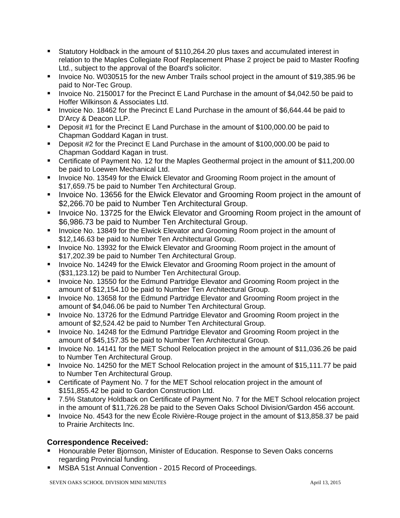- Statutory Holdback in the amount of \$110,264.20 plus taxes and accumulated interest in relation to the Maples Collegiate Roof Replacement Phase 2 project be paid to Master Roofing Ltd., subject to the approval of the Board's solicitor.
- Invoice No. W030515 for the new Amber Trails school project in the amount of \$19,385.96 be paid to Nor-Tec Group.
- Invoice No. 2150017 for the Precinct E Land Purchase in the amount of \$4,042.50 be paid to Hoffer Wilkinson & Associates Ltd.
- Invoice No. 18462 for the Precinct E Land Purchase in the amount of \$6,644.44 be paid to D'Arcy & Deacon LLP.
- **Deposit #1 for the Precinct E Land Purchase in the amount of \$100,000.00 be paid to** Chapman Goddard Kagan in trust.
- Deposit #2 for the Precinct E Land Purchase in the amount of \$100,000.00 be paid to Chapman Goddard Kagan in trust.
- Certificate of Payment No. 12 for the Maples Geothermal project in the amount of \$11,200.00 be paid to Loewen Mechanical Ltd.
- **IDED** Invoice No. 13549 for the Elwick Elevator and Grooming Room project in the amount of \$17,659.75 be paid to Number Ten Architectural Group.
- Invoice No. 13656 for the Elwick Elevator and Grooming Room project in the amount of \$2,266.70 be paid to Number Ten Architectural Group.
- **IDED** Invoice No. 13725 for the Elwick Elevator and Grooming Room project in the amount of \$6,986.73 be paid to Number Ten Architectural Group.
- **IDED** Invoice No. 13849 for the Elwick Elevator and Grooming Room project in the amount of \$12,146.63 be paid to Number Ten Architectural Group.
- **IDED** Invoice No. 13932 for the Elwick Elevator and Grooming Room project in the amount of \$17,202.39 be paid to Number Ten Architectural Group.
- **IDED** Invoice No. 14249 for the Elwick Elevator and Grooming Room project in the amount of (\$31,123.12) be paid to Number Ten Architectural Group.
- **IDED** Invoice No. 13550 for the Edmund Partridge Elevator and Grooming Room project in the amount of \$12,154.10 be paid to Number Ten Architectural Group.
- Invoice No. 13658 for the Edmund Partridge Elevator and Grooming Room project in the amount of \$4,046.06 be paid to Number Ten Architectural Group.
- **IDED** Invoice No. 13726 for the Edmund Partridge Elevator and Grooming Room project in the amount of \$2,524.42 be paid to Number Ten Architectural Group.
- Invoice No. 14248 for the Edmund Partridge Elevator and Grooming Room project in the amount of \$45,157.35 be paid to Number Ten Architectural Group.
- **IDED 14141 For the MET School Relocation project in the amount of \$11,036.26 be paid in the amount of \$11,036.26 be paid** to Number Ten Architectural Group.
- **IDED 14250 for the MET School Relocation project in the amount of \$15,111.77 be paid** to Number Ten Architectural Group.
- Certificate of Payment No. 7 for the MET School relocation project in the amount of \$151,855.42 be paid to Gardon Construction Ltd.
- 7.5% Statutory Holdback on Certificate of Payment No. 7 for the MET School relocation project in the amount of \$11,726.28 be paid to the Seven Oaks School Division/Gardon 456 account.
- Invoice No. 4543 for the new École Rivière-Rouge project in the amount of \$13,858.37 be paid to Prairie Architects Inc.

## **Correspondence Received:**

- Honourable Peter Bjornson, Minister of Education. Response to Seven Oaks concerns regarding Provincial funding.
- MSBA 51st Annual Convention 2015 Record of Proceedings.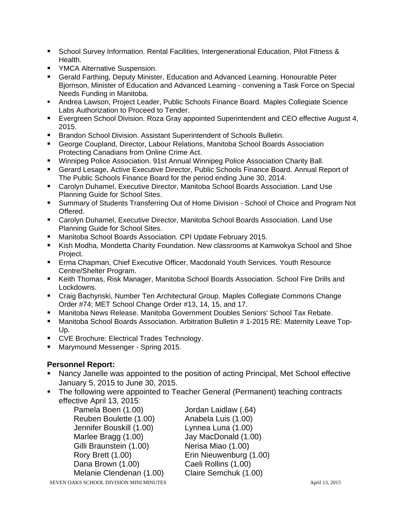- **School Survey Information. Rental Facilities, Intergenerational Education, Pilot Fitness &** Health.
- **YMCA Alternative Suspension.**
- Gerald Farthing, Deputy Minister, Education and Advanced Learning. Honourable Peter Bjornson, Minister of Education and Advanced Learning - convening a Task Force on Special Needs Funding in Manitoba.
- Andrea Lawson, Project Leader, Public Schools Finance Board. Maples Collegiate Science Labs Authorization to Proceed to Tender.
- Evergreen School Division. Roza Gray appointed Superintendent and CEO effective August 4, 2015.
- Brandon School Division. Assistant Superintendent of Schools Bulletin.
- George Coupland, Director, Labour Relations, Manitoba School Boards Association Protecting Canadians from Online Crime Act.
- Winnipeg Police Association. 91st Annual Winnipeg Police Association Charity Ball.
- Gerard Lesage, Active Executive Director, Public Schools Finance Board. Annual Report of The Public Schools Finance Board for the period ending June 30, 2014.
- Carolyn Duhamel, Executive Director, Manitoba School Boards Association. Land Use Planning Guide for School Sites.
- Summary of Students Transferring Out of Home Division School of Choice and Program Not Offered.
- Carolyn Duhamel, Executive Director, Manitoba School Boards Association. Land Use Planning Guide for School Sites.
- Manitoba School Boards Association. CPI Update February 2015.
- Kish Modha, Mondetta Charity Foundation. New classrooms at Kamwokya School and Shoe Project.
- Erma Chapman, Chief Executive Officer, Macdonald Youth Services. Youth Resource Centre/Shelter Program.
- Keith Thomas, Risk Manager, Manitoba School Boards Association. School Fire Drills and Lockdowns.
- Craig Bachynski, Number Ten Architectural Group. Maples Collegiate Commons Change Order #74; MET School Change Order #13, 14, 15, and 17.
- Manitoba News Release. Manitoba Government Doubles Seniors' School Tax Rebate.
- Manitoba School Boards Association. Arbitration Bulletin # 1-2015 RE: Maternity Leave Top-Up.
- **CVE Brochure: Electrical Trades Technology.**
- Marymound Messenger Spring 2015.

### **Personnel Report:**

- Nancy Janelle was appointed to the position of acting Principal, Met School effective January 5, 2015 to June 30, 2015.
- The following were appointed to Teacher General (Permanent) teaching contracts effective April 13, 2015:

Pamela Boen (1.00) Jordan Laidlaw (.64) Reuben Boulette (1.00) Anabela Luis (1.00) Jennifer Bouskill (1.00) Lynnea Luna (1.00) Marlee Bragg (1.00) Jay MacDonald (1.00) Gilli Braunstein (1.00) Nerisa Miao (1.00) Rory Brett (1.00) Erin Nieuwenburg (1.00) Dana Brown (1.00) Caeli Rollins (1.00) Melanie Clendenan (1.00) Claire Semchuk (1.00)

SEVEN OAKS SCHOOL DIVISION MINI MINUTES April 13, 2015